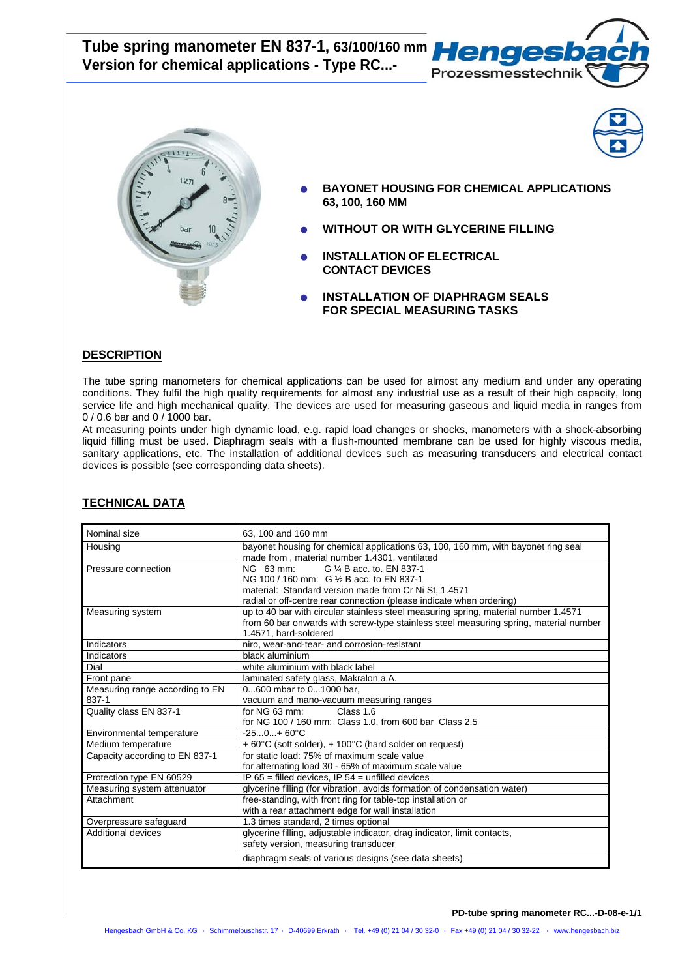**Tube spring manometer EN 837-1, 63/100/160 mm Version for chemical applications - Type RC...-** 





- 
- **BAYONET HOUSING FOR CHEMICAL APPLICATIONS 63, 100, 160 MM**
- **WITHOUT OR WITH GLYCERINE FILLING**
- **INSTALLATION OF ELECTRICAL CONTACT DEVICES**
- **INSTALLATION OF DIAPHRAGM SEALS FOR SPECIAL MEASURING TASKS**

## **DESCRIPTION**

 $\overline{a}$ 

The tube spring manometers for chemical applications can be used for almost any medium and under any operating conditions. They fulfil the high quality requirements for almost any industrial use as a result of their high capacity, long service life and high mechanical quality. The devices are used for measuring gaseous and liquid media in ranges from 0 / 0.6 bar and 0 / 1000 bar.

At measuring points under high dynamic load, e.g. rapid load changes or shocks, manometers with a shock-absorbing liquid filling must be used. Diaphragm seals with a flush-mounted membrane can be used for highly viscous media, sanitary applications, etc. The installation of additional devices such as measuring transducers and electrical contact devices is possible (see corresponding data sheets).

| Nominal size                    | 63. 100 and 160 mm                                                                    |
|---------------------------------|---------------------------------------------------------------------------------------|
| Housing                         | bayonet housing for chemical applications 63, 100, 160 mm, with bayonet ring seal     |
|                                 | made from, material number 1.4301, ventilated                                         |
| Pressure connection             | G 1/4 B acc. to. EN 837-1<br>NG 63 mm:                                                |
|                                 | NG 100 / 160 mm: G 1/2 B acc. to EN 837-1                                             |
|                                 | material: Standard version made from Cr Ni St, 1.4571                                 |
|                                 | radial or off-centre rear connection (please indicate when ordering)                  |
| Measuring system                | up to 40 bar with circular stainless steel measuring spring, material number 1.4571   |
|                                 | from 60 bar onwards with screw-type stainless steel measuring spring, material number |
|                                 | 1.4571, hard-soldered                                                                 |
| Indicators                      | niro, wear-and-tear- and corrosion-resistant                                          |
| Indicators                      | black aluminium                                                                       |
| Dial                            | white aluminium with black label                                                      |
| Front pane                      | laminated safety glass, Makralon a.A.                                                 |
| Measuring range according to EN | 0600 mbar to 01000 bar.                                                               |
| 837-1                           | vacuum and mano-vacuum measuring ranges                                               |
| Quality class EN 837-1          | Class 1.6<br>for $NG 63 mm$ :                                                         |
|                                 | for NG 100 / 160 mm: Class 1.0, from 600 bar Class 2.5                                |
| Environmental temperature       | $-250+60°C$                                                                           |
| Medium temperature              | + 60°C (soft solder), + 100°C (hard solder on request)                                |
| Capacity according to EN 837-1  | for static load: 75% of maximum scale value                                           |
|                                 | for alternating load 30 - 65% of maximum scale value                                  |
| Protection type EN 60529        | IP $65 =$ filled devices, IP $54 =$ unfilled devices                                  |
| Measuring system attenuator     | glycerine filling (for vibration, avoids formation of condensation water)             |
| Attachment                      | free-standing, with front ring for table-top installation or                          |
|                                 | with a rear attachment edge for wall installation                                     |
| Overpressure safeguard          | 1.3 times standard, 2 times optional                                                  |
| Additional devices              | glycerine filling, adjustable indicator, drag indicator, limit contacts,              |
|                                 | safety version, measuring transducer                                                  |
|                                 | diaphragm seals of various designs (see data sheets)                                  |

## **TECHNICAL DATA**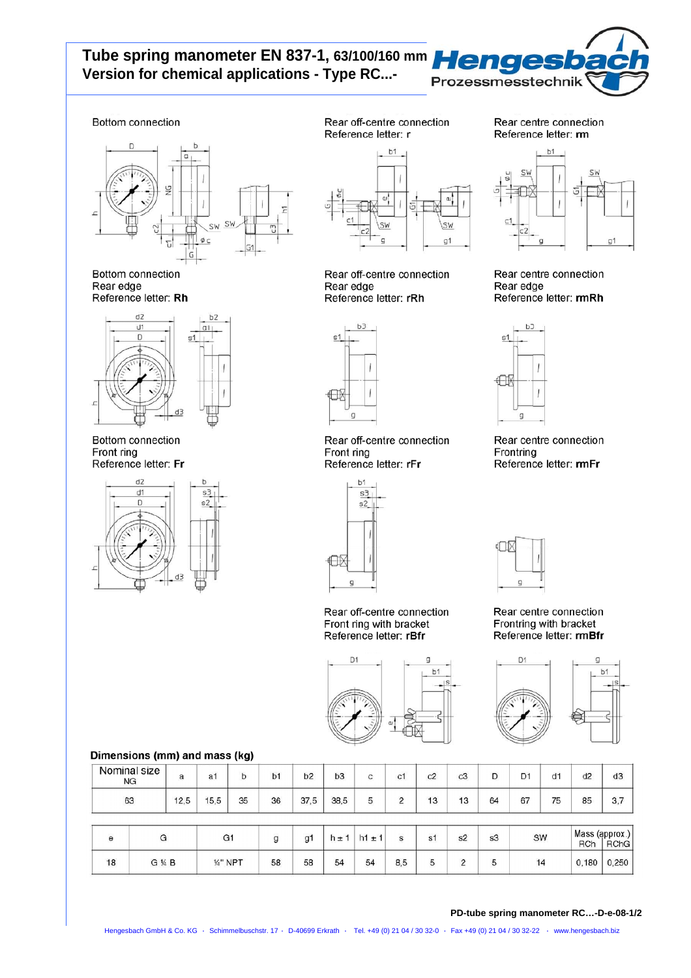# Tube spring manometer EN 837-1, 63/100/160 mm Henges Version for chemical applications - Type RC...-



# Bottom connection



**Bottom connection** Rear edge Reference letter: Rh



Bottom connection Front ring Reference letter: Fr



Rear off-centre connection Reference letter: r

 $h1$ 

SW  $g1$ 

#### Rear centre connection Reference letter: rm



Rear centre connection Rear edge Reference letter: rmRh



Rear edge

Rear off-centre connection Front ring Reference letter: rFr



 $n<sub>1</sub>$ 

Rear off-centre connection Front ring with bracket Reference letter: rBfr

 $\Box$ 

 $h1$ 



Rear centre connection Frontring with bracket Reference letter: rmBfr



## Dimensions (mm) and mass (kg)

| Nominal size<br><b>NG</b> | а    | a1   | b  | b1 | b2   | b <sub>3</sub> | с | c1          | c2 | c3 |    | D <sub>1</sub> | d1 | d2 | d <sub>3</sub> |
|---------------------------|------|------|----|----|------|----------------|---|-------------|----|----|----|----------------|----|----|----------------|
| 63                        | 12,5 | 15,5 | 35 | 36 | 37.5 | 38,5           | ັ | $\sim$<br>- | 13 | 13 | 64 | 67             | 75 | 85 | 3,7            |
|                           |      |      |    |    |      |                |   |             |    |    |    |                |    | .  |                |

|    |       | ا ا      |    | q1 | h± ' | $h1 \pm 1$ |     | o*<br>১। | s2 | s3 | SW | <b>RCh</b> | Mass (approx.)<br><b>RChG</b> |
|----|-------|----------|----|----|------|------------|-----|----------|----|----|----|------------|-------------------------------|
| 18 | G ¼ B | 1/4" NPT | 58 | 58 | 54   | 54         | 8.5 |          |    |    | 14 | 0,180      | 0.250                         |

#### PD-tube spring manometer RC...-D-e-08-1/2



Rear off-centre connection

Reference letter: rRh

 $s1$ ⊕  $\sigma$ 

Rear centre connection Frontring Reference letter: rmFr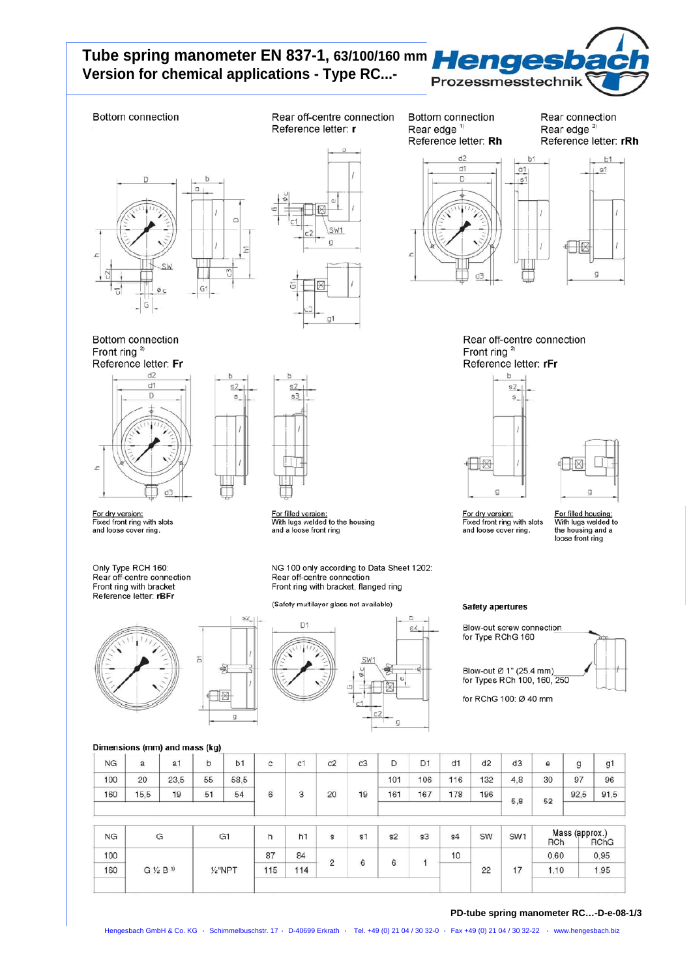# Tube spring manometer EN 837-1, 63/100/160 mm Henges Version for chemical applications - Type RC...-



b1

### **Bottom connection**

Bottom connection

<u>For dry version:</u><br>Fixed front ring with slots

Only Type RCH 160:<br>Rear off-centre connection

Front ring with bracket

Reference letter: rBFr

and loose cover ring.

 $d2$ 

 $d1$ 

D

ď

Front ring  $2$ Reference letter: Fr

 $\mathbf{r}$ 

Rear off-centre connection Reference letter: r

Bottom connection Rear edge<sup>1)</sup> Reference letter: Rh

 $d<sub>2</sub>$ 

Rear connection Rear edge<sup>2)</sup> Reference letter: rRh





 $d1$  $a1$ D  $|s|$ 



Rear off-centre connection Front ring  $2$ Reference letter: rFr





<u>For dry version:</u><br>Fixed front ring with slots and loose cover ring.

For filled housing:<br>With lugs welded to<br>the housing and a<br>loose front ring

**Safety apertures** 

Blow-out screw connection<br>for Type RChG 160 Blow-out Ø 1" (25.4 mm)<br>for Types RCh 100, 160, 250



for RChG 100: Ø 40 mm

Dimensions (mm) and mass (kg)

| $\mathbf{H}$ |              | $\sim$ |    | $\sim$         | $\mathbf{L}$        | $1 - 4$ | <b>CONTRACTOR</b> | $-4$                    | $-\alpha$ | $-2$           | $-1$ | O(11) | O(1114) |                   | Mass (approx.)    |                |
|--------------|--------------|--------|----|----------------|---------------------|---------|-------------------|-------------------------|-----------|----------------|------|-------|---------|-------------------|-------------------|----------------|
| 160          | 15,5         | 19     | 51 | 54             | 52.6<br>6           | 3       | 20                | <b>CONTRACTOR</b><br>19 | 161       | 167            | 178  | 196   | 5,8     | 52                | 92,5              | 91,5           |
| 100          | 20           | 23,5   | 55 | 58,5           |                     |         |                   |                         | 101       | 106            | 116  | 132   | 4.8     | 30                | 97                | 96             |
| <b>NG</b>    | And Co.<br>a | a1     | b  | b <sub>1</sub> | <b>COLLEGE</b><br>с | c1      | c2                | c3                      | D         | D <sub>1</sub> | d1   | d2    | d3      | <b>SALES</b><br>θ | <b>STATE</b><br>g | g <sub>1</sub> |

| ΝG  | G                   | G <sub>1</sub>     |     | h1  | s          | s1 | s2 | s3 | s <sub>4</sub> | SW | SW <sub>1</sub> | <b>RCh</b> | Mass (approx.)<br><b>RChG</b> |
|-----|---------------------|--------------------|-----|-----|------------|----|----|----|----------------|----|-----------------|------------|-------------------------------|
| 100 |                     |                    | 87  | 84  | $\sim$     |    | 6  |    | 10             |    |                 | 0,60       | 0.95                          |
| 160 | $G\frac{1}{2}B^{3}$ | $\frac{1}{2}$ "NPT | 115 | 114 | $\epsilon$ | 6  |    |    |                | 22 | $-17$           | , 10       | 1,95                          |
|     |                     |                    |     |     |            |    |    |    |                |    |                 |            |                               |



s2

S

⊣⊠

Š

For filled version:<br>With lugs welded to the housing<br>and a loose front ring

NG 100 only according to Data Sheet 1202: Rear off-centre connection Front ring with bracket, flanged ring

(Safety multilayer glass not available)



PD-tube spring manometer RC...-D-e-08-1/3